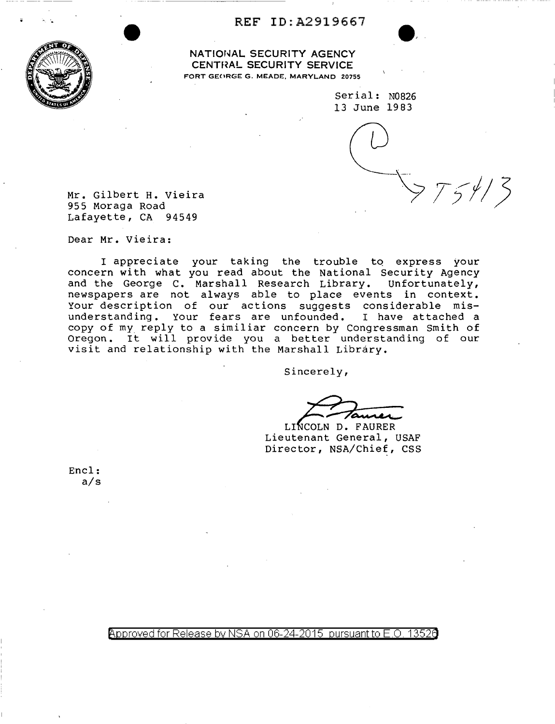## . ·. **REF** ID:A2919667



**NATIONAL SECURITY AGENCY CENTHAL SECURITY SERVICE**  FORT GECIRGE G. MEADE, MARYLAND 20755

> Serial: N0826 13 June 1983

 $\frac{1}{2}$   $\frac{1}{2}$   $\frac{1}{2}$ 

Mr. Gilbert H. Vieira 955 Moraga Road Lafayette, CA 94549

Dear Mr. Vieira:

I appreciate your taking the trouble to express your concern with what you read about the National Security Agency and the George C. Marshall Research Library. Unfortunately, newspapers are not always able to place events in context. Your description of our actions suggests considerable mis-<br>understanding. Your fears are unfounded. I have attached a understanding. Your fears are unfounded. copy of my reply to a similiar concern by Congressman Smith of Oregon. It will provide you a better understanding of our visit and relationship with the Marshall Library.

Sincerely,

LINCOLN D. FAURER<br>Lieutenant General, USAF Director, NSA/Chief, CSS

Encl: a/s

Approved for Release by NSA on 06-24-2015 pursuant to E.O. 13526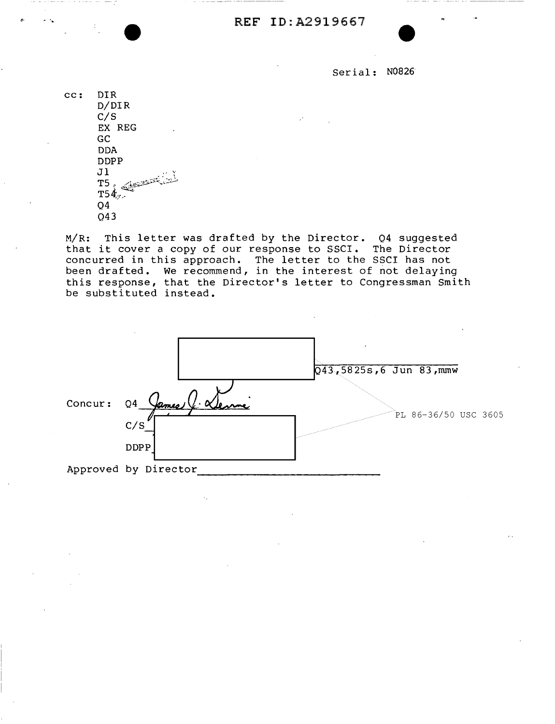**REF** ID:A2919667

Serial: N0826

cc: DIR D/DIR C/S EX REG GC DDA DDPP **Jl**  $\begin{array}{l} \texttt{T5} \texttt{.} \end{array}$   $\begin{array}{l} \texttt{0} \leftarrow \texttt{0} \end{array}$  $T54.7$ Q4 Q43

...

M/R: This letter was drafted by the Director. Q4 suggested that it cover a copy of our response to SSCI. The Director chat it cover a copy of our response to sport. The Birector been drafted. We recommend, in the interest of not delaying this response, that the Director's letter to Congressman Smith be substituted instead.

|         |                      |                | $\overline{\phantom{a}}$<br>$Q43, 5825s, 6$ Jun 83, mmw |
|---------|----------------------|----------------|---------------------------------------------------------|
| Concur: | Q4<br>James<br>C/S   | $\cdot \alpha$ | PL 86-36/50 USC 3605                                    |
|         | <b>DDPP</b>          |                |                                                         |
|         | Approved by Director |                |                                                         |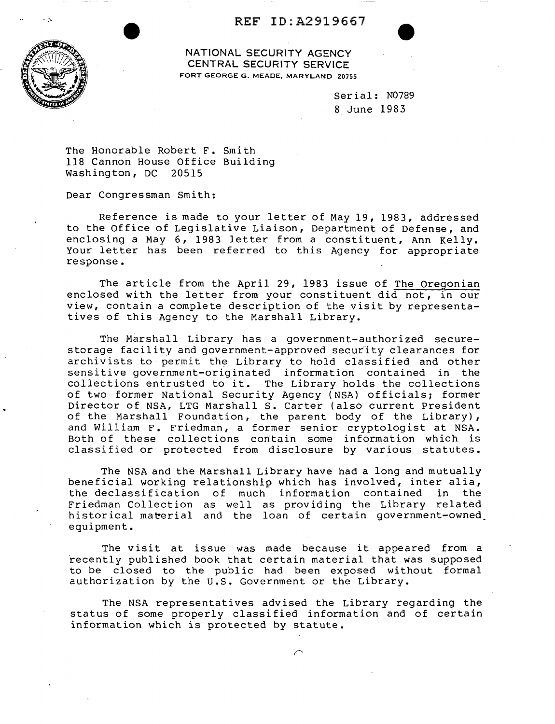## REF ID:A2919667



NATIONAL SECURITY AGENCY CENTRAL SECURITY SERVICE FORT GEORGE G. MEADE, MARYLAND 20755

> Serial: N0789 8 June 1983

The Honorable Robert F. Smith 118 Cannon House Office Building Washington, DC 20515

Dear Congressman Smith:

Reference is made to your letter of May 19, 1983, addressed to the Office of Legislative Liaison, Department of Defense, and enclosing a May 6, 1983 letter from a constituent, Ann Kelly. Your letter has been referred to this Agency for appropriate response.

The article from the April 29, 1983 issue of The Oregonian enclosed with the letter from your constituent did not, in our view, contain a complete description of the visit by representatives of this Agency to the Marshall Library.

The Marshall Library has a government-authorized securestorage facility and government-approved security clearances for archivists to· permit the Library to hold classified and other sensitive government-originated information contained in the collections entrusted to it. The Library holds the collections of two former National Security Agency (NSA) officials; former Director of NSA, LTG Marshall S. Carter (also current President of the Marshall Foundation, the parent body of the Library), and William F. Friedman, a former senior cryptologist at NSA. Both of these collections contain some information which is classified or protected from disclosure by various statutes.

The NSA and the Marshall Library have had a long and mutually beneficial working relationship which has involved, inter alia, the declassification of much information contained in the Friedman Collection as well as providing the Library related historical material and the loan of certain government-owned equipment.

The visit at issue was made because it appeared from a recently published book that certain material that was supposed to be closed to the public had been exposed without formal authorization by the U.S. Government or the Library.

The NSA representatives advised the Library regarding the status of some properly classified information and of certain information which is protected by statute.